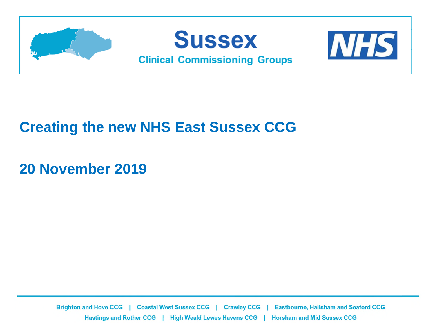

#### **Creating the new NHS East Sussex CCG**

#### **20 November 2019**

Brighton and Hove CCG | Coastal West Sussex CCG | Crawley CCG **Eastbourne, Hailsham and Seaford CCG** Hastings and Rother CCG | High Weald Lewes Havens CCG | Horsham and Mid Sussex CCG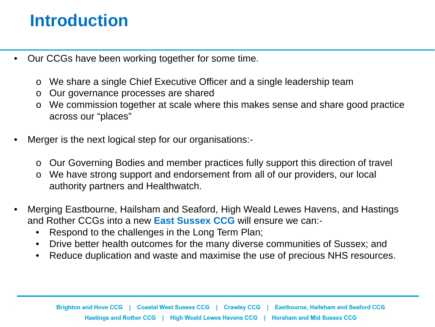### **Introduction**

- Our CCGs have been working together for some time.
	- o We share a single Chief Executive Officer and a single leadership team
	- o Our governance processes are shared
	- o We commission together at scale where this makes sense and share good practice across our "places"
- Merger is the next logical step for our organisations:
	- o Our Governing Bodies and member practices fully support this direction of travel
	- o We have strong support and endorsement from all of our providers, our local authority partners and Healthwatch.
- Merging Eastbourne, Hailsham and Seaford, High Weald Lewes Havens, and Hastings and Rother CCGs into a new **East Sussex CCG** will ensure we can:-
	- Respond to the challenges in the Long Term Plan;
	- Drive better health outcomes for the many diverse communities of Sussex; and
	- Reduce duplication and waste and maximise the use of precious NHS resources.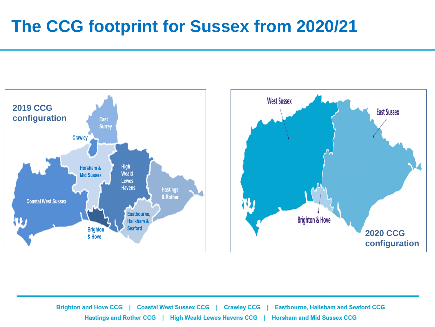### **The CCG footprint for Sussex from 2020/21**



**Brighton and Hove CCG**  $\mathbf{I}$ **Coastal West Sussex CCG Eastbourne, Hailsham and Seaford CCG Crawley CCG**  $\blacksquare$ **Horsham and Mid Sussex CCG** Hastings and Rother CCG | High Weald Lewes Havens CCG |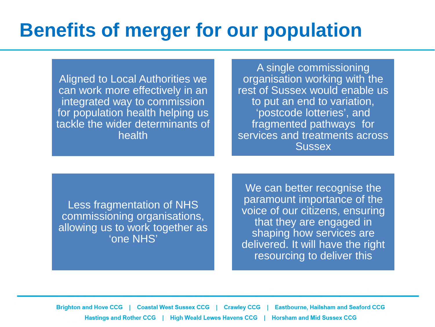# **Benefits of merger for our population**

Aligned to Local Authorities we can work more effectively in an integrated way to commission for population health helping us tackle the wider determinants of health

A single commissioning organisation working with the rest of Sussex would enable us to put an end to variation, 'postcode lotteries', and fragmented pathways for services and treatments across **Sussex** 

Less fragmentation of NHS commissioning organisations, allowing us to work together as 'one NHS'

We can better recognise the paramount importance of the voice of our citizens, ensuring that they are engaged in shaping how services are delivered. It will have the right resourcing to deliver this

Brighton and Hove CCG | Coastal West Sussex CCG | **Eastbourne, Hailsham and Seaford CCG Crawley CCG** Hastings and Rother CCG | High Weald Lewes Havens CCG | **Horsham and Mid Sussex CCG**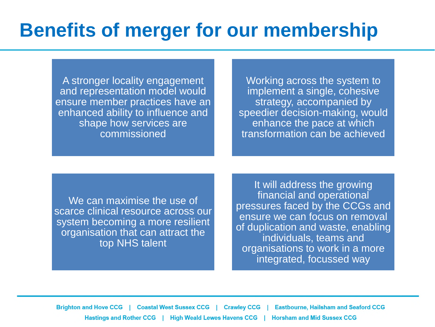# **Benefits of merger for our membership**

A stronger locality engagement and representation model would ensure member practices have an enhanced ability to influence and shape how services are commissioned

Working across the system to implement a single, cohesive strategy, accompanied by speedier decision-making, would enhance the pace at which transformation can be achieved

We can maximise the use of scarce clinical resource across our system becoming a more resilient organisation that can attract the top NHS talent

It will address the growing financial and operational pressures faced by the CCGs and ensure we can focus on removal of duplication and waste, enabling individuals, teams and organisations to work in a more integrated, focussed way

Brighton and Hove CCG | Coastal West Sussex CCG | **Eastbourne, Hailsham and Seaford CCG Crawley CCG** Hastings and Rother CCG | High Weald Lewes Havens CCG | **Horsham and Mid Sussex CCG**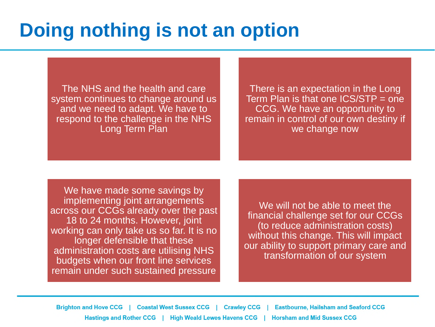# **Doing nothing is not an option**

The NHS and the health and care system continues to change around us and we need to adapt. We have to respond to the challenge in the NHS Long Term Plan

There is an expectation in the Long Term Plan is that one ICS/STP = one CCG. We have an opportunity to remain in control of our own destiny if we change now

We have made some savings by implementing joint arrangements across our CCGs already over the past 18 to 24 months. However, joint working can only take us so far. It is no longer defensible that these administration costs are utilising NHS budgets when our front line services remain under such sustained pressure

We will not be able to meet the financial challenge set for our CCGs (to reduce administration costs) without this change. This will impact our ability to support primary care and transformation of our system

Brighton and Hove CCG | Coastal West Sussex CCG | Crawley CCG **Eastbourne, Hailsham and Seaford CCG** Hastings and Rother CCG | High Weald Lewes Havens CCG | **Horsham and Mid Sussex CCG**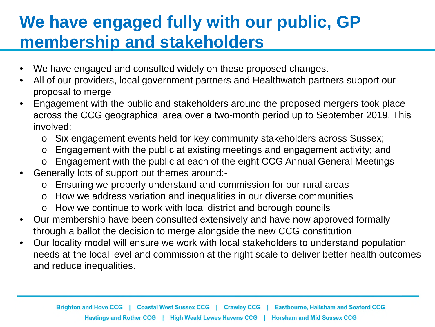### **We have engaged fully with our public, GP membership and stakeholders**

- We have engaged and consulted widely on these proposed changes.
- All of our providers, local government partners and Healthwatch partners support our proposal to merge
- Engagement with the public and stakeholders around the proposed mergers took place across the CCG geographical area over a two-month period up to September 2019. This involved:
	- o Six engagement events held for key community stakeholders across Sussex;
	- o Engagement with the public at existing meetings and engagement activity; and
	- o Engagement with the public at each of the eight CCG Annual General Meetings
- Generally lots of support but themes around:
	- o Ensuring we properly understand and commission for our rural areas
	- o How we address variation and inequalities in our diverse communities
	- o How we continue to work with local district and borough councils
- Our membership have been consulted extensively and have now approved formally through a ballot the decision to merge alongside the new CCG constitution
- Our locality model will ensure we work with local stakeholders to understand population needs at the local level and commission at the right scale to deliver better health outcomes and reduce inequalities.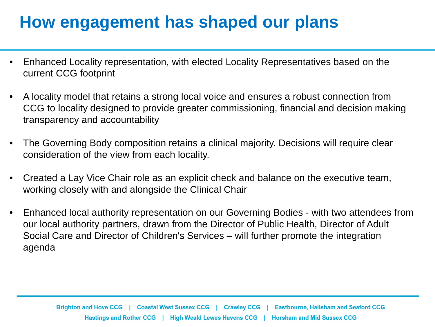### **How engagement has shaped our plans**

- Enhanced Locality representation, with elected Locality Representatives based on the current CCG footprint
- A locality model that retains a strong local voice and ensures a robust connection from CCG to locality designed to provide greater commissioning, financial and decision making transparency and accountability
- The Governing Body composition retains a clinical majority. Decisions will require clear consideration of the view from each locality.
- Created a Lay Vice Chair role as an explicit check and balance on the executive team, working closely with and alongside the Clinical Chair
- Enhanced local authority representation on our Governing Bodies with two attendees from our local authority partners, drawn from the Director of Public Health, Director of Adult Social Care and Director of Children's Services – will further promote the integration agenda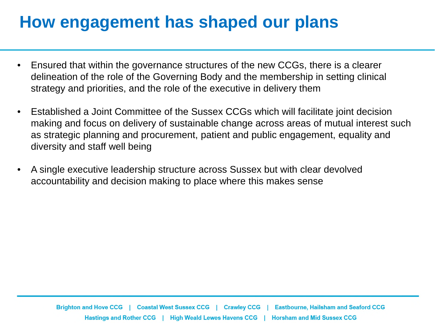### **How engagement has shaped our plans**

- Ensured that within the governance structures of the new CCGs, there is a clearer delineation of the role of the Governing Body and the membership in setting clinical strategy and priorities, and the role of the executive in delivery them
- Established a Joint Committee of the Sussex CCGs which will facilitate joint decision making and focus on delivery of sustainable change across areas of mutual interest such as strategic planning and procurement, patient and public engagement, equality and diversity and staff well being
- A single executive leadership structure across Sussex but with clear devolved accountability and decision making to place where this makes sense